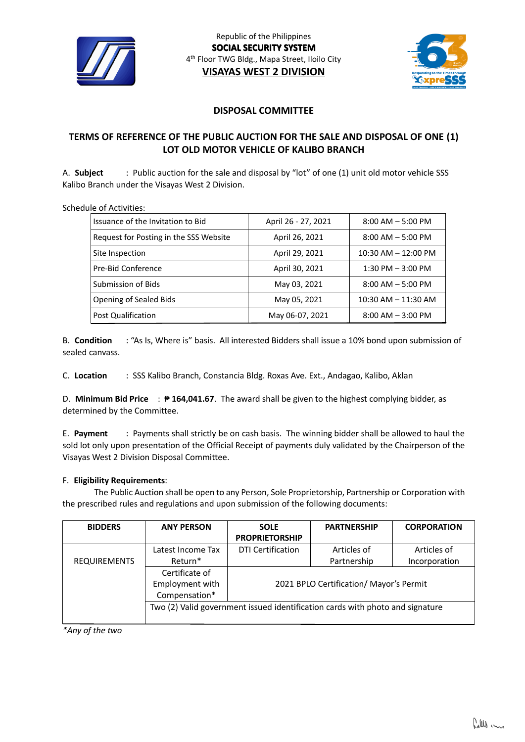



## **DISPOSAL COMMITTEE**

# **TERMS OF REFERENCE OF THE PUBLIC AUCTION FOR THE SALE AND DISPOSAL OF ONE (1) LOT OLD MOTOR VEHICLE OF KALIBO BRANCH**

A. **Subject** : Public auction for the sale and disposal by "lot" of one (1) unit old motor vehicle SSS Kalibo Branch under the Visayas West 2 Division.

Schedule of Activities:

| Issuance of the Invitation to Bid      | April 26 - 27, 2021 | $8:00$ AM $-5:00$ PM    |
|----------------------------------------|---------------------|-------------------------|
| Request for Posting in the SSS Website | April 26, 2021      | $8:00$ AM $-5:00$ PM    |
| Site Inspection                        | April 29, 2021      | $10:30$ AM $- 12:00$ PM |
| Pre-Bid Conference                     | April 30, 2021      | $1:30$ PM $-3:00$ PM    |
| Submission of Bids                     | May 03, 2021        | $8:00$ AM $-5:00$ PM    |
| Opening of Sealed Bids                 | May 05, 2021        | $10:30$ AM $- 11:30$ AM |
| Post Qualification                     | May 06-07, 2021     | $8:00$ AM $-3:00$ PM    |

B. **Condition** : "As Is, Where is" basis. All interested Bidders shall issue a 10% bond upon submission of sealed canvass.

C. **Location** : SSS Kalibo Branch, Constancia Bldg. Roxas Ave. Ext., Andagao, Kalibo, Aklan

D. **Minimum Bid Price** : ₱ **164,041.67**. The award shall be given to the highest complying bidder, as determined by the Committee.

E. **Payment** : Payments shall strictly be on cash basis. The winning bidder shall be allowed to haul the sold lot only upon presentation of the Official Receipt of payments duly validated by the Chairperson of the Visayas West 2 Division Disposal Committee.

#### F. **Eligibility Requirements**:

The Public Auction shall be open to any Person, Sole Proprietorship, Partnership or Corporation with the prescribed rules and regulations and upon submission of the following documents:

| <b>BIDDERS</b>      | <b>ANY PERSON</b>                                                             | <b>SOLE</b>                             | <b>PARTNERSHIP</b> | <b>CORPORATION</b> |  |
|---------------------|-------------------------------------------------------------------------------|-----------------------------------------|--------------------|--------------------|--|
|                     |                                                                               | <b>PROPRIETORSHIP</b>                   |                    |                    |  |
|                     | Latest Income Tax                                                             | <b>DTI Certification</b>                | Articles of        | Articles of        |  |
| <b>REQUIREMENTS</b> | Return*                                                                       |                                         | Partnership        | Incorporation      |  |
|                     | Certificate of                                                                |                                         |                    |                    |  |
|                     | Employment with                                                               | 2021 BPLO Certification/ Mayor's Permit |                    |                    |  |
|                     | Compensation*                                                                 |                                         |                    |                    |  |
|                     | Two (2) Valid government issued identification cards with photo and signature |                                         |                    |                    |  |
|                     |                                                                               |                                         |                    |                    |  |

*\*Any of the two*